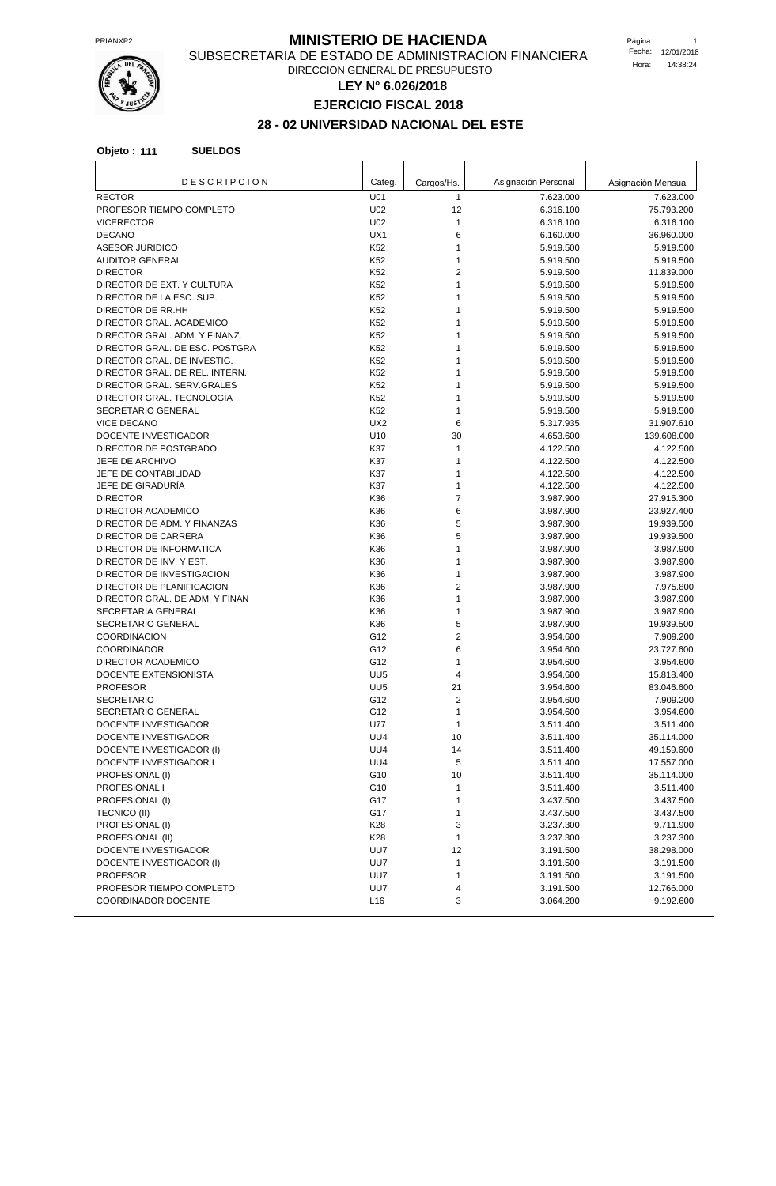

## **PRIANXP2** PRIANXP2 **MINISTERIO DE HACIENDA**

SUBSECRETARIA DE ESTADO DE ADMINISTRACION FINANCIERA DIRECCION GENERAL DE PRESUPUESTO

**LEY N° 6.026/2018**

**EJERCICIO FISCAL 2018**

# **28 - 02 UNIVERSIDAD NACIONAL DEL ESTE**

| <b>DESCRIPCION</b>                        | Categ.                 | Cargos/Hs. | Asignación Personal    | Asignación Mensual      |
|-------------------------------------------|------------------------|------------|------------------------|-------------------------|
| <b>RECTOR</b>                             | U01                    | 1          | 7.623.000              | 7.623.000               |
| PROFESOR TIEMPO COMPLETO                  | U02                    | 12         | 6.316.100              | 75.793.200              |
| <b>VICERECTOR</b>                         | U02                    | 1          | 6.316.100              | 6.316.100               |
| <b>DECANO</b>                             | UX1                    | 6          | 6.160.000              | 36.960.000              |
| <b>ASESOR JURIDICO</b>                    | K52                    | 1          | 5.919.500              | 5.919.500               |
| <b>AUDITOR GENERAL</b><br><b>DIRECTOR</b> | K52<br>K <sub>52</sub> | 1<br>2     | 5.919.500              | 5.919.500               |
| DIRECTOR DE EXT. Y CULTURA                | K52                    | 1          | 5.919.500<br>5.919.500 | 11.839.000<br>5.919.500 |
| DIRECTOR DE LA ESC. SUP.                  | K52                    | 1          | 5.919.500              | 5.919.500               |
| DIRECTOR DE RR.HH                         | K52                    | 1          | 5.919.500              | 5.919.500               |
| DIRECTOR GRAL. ACADEMICO                  | K52                    | 1          | 5.919.500              | 5.919.500               |
| DIRECTOR GRAL. ADM. Y FINANZ.             | K52                    | 1          | 5.919.500              | 5.919.500               |
| DIRECTOR GRAL. DE ESC. POSTGRA            | K52                    | 1          | 5.919.500              | 5.919.500               |
| DIRECTOR GRAL. DE INVESTIG.               | K52                    | 1          | 5.919.500              | 5.919.500               |
| DIRECTOR GRAL. DE REL. INTERN.            | K52                    | 1          | 5.919.500              | 5.919.500               |
| DIRECTOR GRAL. SERV.GRALES                | K52                    | 1          | 5.919.500              | 5.919.500               |
| DIRECTOR GRAL. TECNOLOGIA                 | K <sub>52</sub>        | 1          | 5.919.500              | 5.919.500               |
| SECRETARIO GENERAL                        | K52                    | 1          | 5.919.500              | 5.919.500               |
| <b>VICE DECANO</b>                        | UX <sub>2</sub>        | 6          | 5.317.935              | 31.907.610              |
| DOCENTE INVESTIGADOR                      | U10                    | 30         | 4.653.600              | 139.608.000             |
| DIRECTOR DE POSTGRADO                     | K37                    | 1          | 4.122.500              | 4.122.500               |
| JEFE DE ARCHIVO                           | K37                    | 1          | 4.122.500              | 4.122.500               |
| JEFE DE CONTABILIDAD                      | K37                    | 1          | 4.122.500              | 4.122.500               |
| JEFE DE GIRADURÍA                         | K37                    | 1          | 4.122.500              | 4.122.500               |
| <b>DIRECTOR</b>                           | K36                    | 7          | 3.987.900              | 27.915.300              |
| DIRECTOR ACADEMICO                        | K36                    | 6          | 3.987.900              | 23.927.400              |
| DIRECTOR DE ADM. Y FINANZAS               | K36                    | 5          | 3.987.900              | 19.939.500              |
| DIRECTOR DE CARRERA                       | K36                    | 5          | 3.987.900              | 19.939.500              |
| DIRECTOR DE INFORMATICA                   | K36                    | 1          | 3.987.900              | 3.987.900               |
| DIRECTOR DE INV. Y EST.                   | K36                    | 1          | 3.987.900              | 3.987.900               |
| DIRECTOR DE INVESTIGACION                 | K36                    | 1          | 3.987.900              | 3.987.900               |
| DIRECTOR DE PLANIFICACION                 | K36                    | 2          | 3.987.900              | 7.975.800               |
| DIRECTOR GRAL. DE ADM. Y FINAN            | K36                    | 1          | 3.987.900              | 3.987.900               |
| SECRETARIA GENERAL                        | K36                    | 1          | 3.987.900              | 3.987.900               |
| SECRETARIO GENERAL                        | K36                    | 5          | 3.987.900              | 19.939.500              |
| <b>COORDINACION</b>                       | G12                    | 2          | 3.954.600              | 7.909.200               |
| <b>COORDINADOR</b>                        | G12                    | 6          | 3.954.600              | 23.727.600              |
| DIRECTOR ACADEMICO                        | G12                    | 1          | 3.954.600              | 3.954.600               |
| DOCENTE EXTENSIONISTA                     | UU <sub>5</sub>        | 4          | 3.954.600              | 15.818.400              |
| <b>PROFESOR</b>                           | UU <sub>5</sub>        | 21         | 3.954.600              | 83.046.600              |
| <b>SECRETARIO</b>                         | G12                    | 2          | 3.954.600              | 7.909.200               |
| SECRETARIO GENERAL                        | G12                    | 1          | 3.954.600              | 3.954.600               |
| DOCENTE INVESTIGADOR                      | <b>U77</b>             | 1          | 3.511.400              | 3.511.400               |
| DOCENTE INVESTIGADOR                      | UU4                    | 10         | 3.511.400              | 35.114.000              |
| DOCENTE INVESTIGADOR (I)                  | UU4                    | 14         | 3.511.400              | 49.159.600              |
| DOCENTE INVESTIGADOR I                    | UU4                    | 5          | 3.511.400              | 17.557.000              |
| PROFESIONAL (I)                           | G10                    | 10         | 3.511.400              | 35.114.000              |
| PROFESIONAL I                             | G10                    | 1          | 3.511.400              | 3.511.400               |
| PROFESIONAL (I)                           | G17                    | 1          | 3.437.500              | 3.437.500               |
| TECNICO (II)                              | G17                    | 1          | 3.437.500              | 3.437.500               |
| PROFESIONAL (I)                           | K28                    | 3          | 3.237.300              | 9.711.900               |
| PROFESIONAL (II)                          | K28                    | 1          | 3.237.300              | 3.237.300               |
| DOCENTE INVESTIGADOR                      | UU7                    | 12         | 3.191.500              | 38.298.000              |
| DOCENTE INVESTIGADOR (I)                  | UU7                    | 1          | 3.191.500              | 3.191.500               |
| <b>PROFESOR</b>                           | UU7                    | 1          | 3.191.500              | 3.191.500               |
| PROFESOR TIEMPO COMPLETO                  | UU7                    | 4          | 3.191.500              | 12.766.000              |
| COORDINADOR DOCENTE                       | L16                    | 3          | 3.064.200              | 9.192.600               |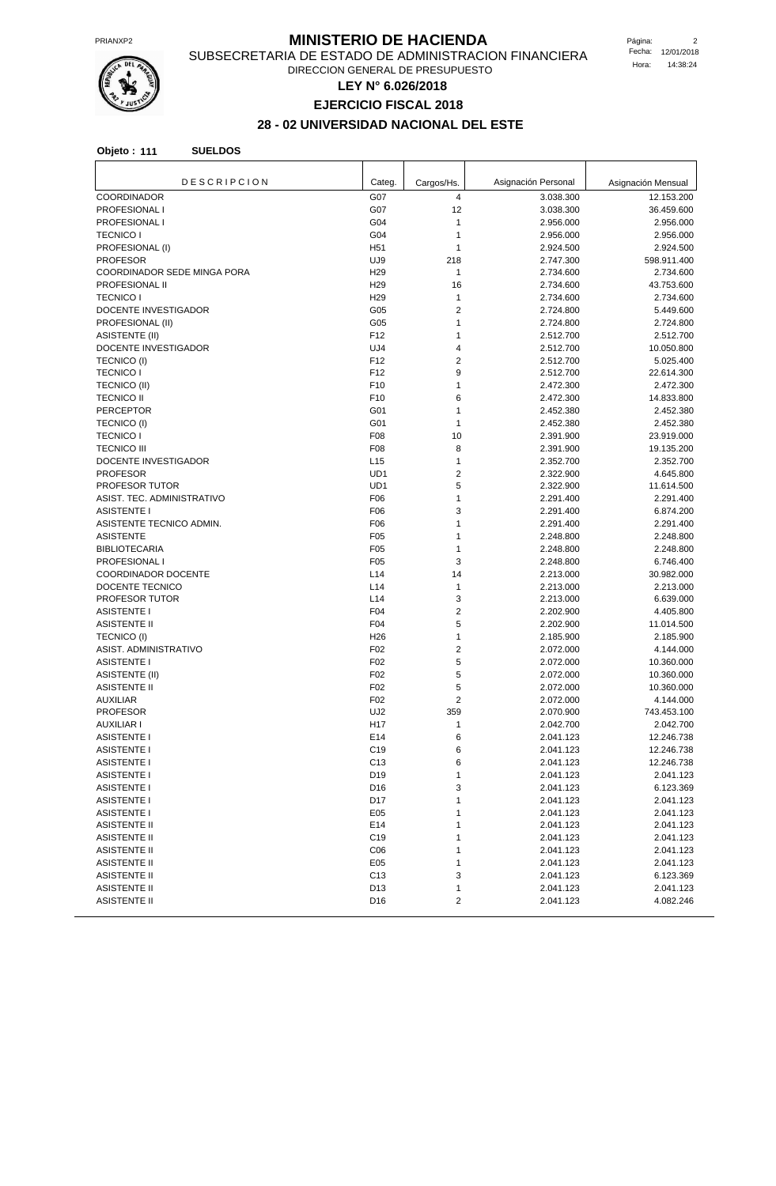

#### **PRIANXP2** PRIANXP2 **MINISTERIO DE HACIENDA**

SUBSECRETARIA DE ESTADO DE ADMINISTRACION FINANCIERA DIRECCION GENERAL DE PRESUPUESTO

**LEY N° 6.026/2018**

**EJERCICIO FISCAL 2018**

# **28 - 02 UNIVERSIDAD NACIONAL DEL ESTE**

| <b>DESCRIPCION</b>                   | Categ.          | Cargos/Hs.          | Asignación Personal    | Asignación Mensual     |
|--------------------------------------|-----------------|---------------------|------------------------|------------------------|
| <b>COORDINADOR</b>                   | G07             | 4                   | 3.038.300              | 12.153.200             |
| PROFESIONAL I                        | G07             | 12                  | 3.038.300              | 36.459.600             |
| PROFESIONAL I                        | G04             | 1                   | 2.956.000              | 2.956.000              |
| <b>TECNICO I</b>                     | G04             | 1                   | 2.956.000              | 2.956.000              |
| PROFESIONAL (I)                      | H <sub>51</sub> | 1                   | 2.924.500              | 2.924.500              |
| <b>PROFESOR</b>                      | UJ9             | 218                 | 2.747.300              | 598.911.400            |
| COORDINADOR SEDE MINGA PORA          | H <sub>29</sub> | $\mathbf{1}$        | 2.734.600              | 2.734.600              |
| PROFESIONAL II                       | H <sub>29</sub> | 16                  | 2.734.600              | 43.753.600             |
| <b>TECNICO I</b>                     | H <sub>29</sub> | $\mathbf{1}$        | 2.734.600              | 2.734.600              |
| DOCENTE INVESTIGADOR                 | G05             | 2                   | 2.724.800              | 5.449.600              |
| PROFESIONAL (II)                     | G05             | 1                   | 2.724.800              | 2.724.800              |
| <b>ASISTENTE (II)</b>                | F12             | 1                   | 2.512.700              | 2.512.700              |
| DOCENTE INVESTIGADOR                 | UJ4             | 4                   | 2.512.700              | 10.050.800             |
| <b>TECNICO (I)</b>                   | F <sub>12</sub> | $\overline{2}$      | 2.512.700              | 5.025.400              |
| <b>TECNICO I</b>                     | F <sub>12</sub> | 9                   | 2.512.700              | 22.614.300             |
| TECNICO (II)                         | F <sub>10</sub> | 1                   | 2.472.300              | 2.472.300              |
| <b>TECNICO II</b>                    | F10             | 6                   | 2.472.300              | 14.833.800             |
| <b>PERCEPTOR</b>                     | G01             | 1                   | 2.452.380              | 2.452.380              |
| <b>TECNICO (I)</b>                   | G01             | 1                   | 2.452.380              | 2.452.380              |
| <b>TECNICO I</b>                     | F08             | 10                  | 2.391.900              | 23.919.000             |
| <b>TECNICO III</b>                   | F <sub>08</sub> | 8                   | 2.391.900              | 19.135.200             |
| DOCENTE INVESTIGADOR                 | L15             | 1                   | 2.352.700              | 2.352.700              |
| <b>PROFESOR</b>                      | UD1             | 2                   | 2.322.900              | 4.645.800              |
| <b>PROFESOR TUTOR</b>                | UD1             | 5                   | 2.322.900              | 11.614.500             |
| ASIST. TEC. ADMINISTRATIVO           | F06             | 1                   | 2.291.400              | 2.291.400              |
| <b>ASISTENTE I</b>                   | F06             | 3                   | 2.291.400              | 6.874.200              |
| ASISTENTE TECNICO ADMIN.             | F06             | 1                   | 2.291.400              | 2.291.400              |
| <b>ASISTENTE</b>                     | F05             | 1                   | 2.248.800              | 2.248.800              |
| <b>BIBLIOTECARIA</b>                 | F05             | 1                   | 2.248.800              | 2.248.800              |
| <b>PROFESIONAL I</b>                 | F05             | 3                   | 2.248.800              | 6.746.400              |
| <b>COORDINADOR DOCENTE</b>           | L14<br>L14      | 14<br>$\mathbf{1}$  | 2.213.000              | 30.982.000             |
| DOCENTE TECNICO                      | L14             |                     | 2.213.000              | 2.213.000              |
| PROFESOR TUTOR<br><b>ASISTENTE I</b> | F04             | 3<br>$\overline{2}$ | 2.213.000<br>2.202.900 | 6.639.000<br>4.405.800 |
| <b>ASISTENTE II</b>                  | F04             | 5                   | 2.202.900              | 11.014.500             |
| <b>TECNICO (I)</b>                   | H <sub>26</sub> | $\mathbf{1}$        | 2.185.900              | 2.185.900              |
| ASIST. ADMINISTRATIVO                | F <sub>02</sub> | $\overline{2}$      | 2.072.000              | 4.144.000              |
| <b>ASISTENTE I</b>                   | F <sub>02</sub> | 5                   | 2.072.000              | 10.360.000             |
| <b>ASISTENTE (II)</b>                | F02             | 5                   | 2.072.000              | 10.360.000             |
| <b>ASISTENTE II</b>                  | F02             | 5                   | 2.072.000              | 10.360.000             |
| <b>AUXILIAR</b>                      | F02             | $\overline{2}$      | 2.072.000              | 4.144.000              |
| <b>PROFESOR</b>                      | UJ2             | 359                 | 2.070.900              | 743.453.100            |
| AUXILIAR I                           | H <sub>17</sub> | 1                   | 2.042.700              | 2.042.700              |
| <b>ASISTENTE I</b>                   | E14             | 6                   | 2.041.123              | 12.246.738             |
| <b>ASISTENTE I</b>                   | C <sub>19</sub> | 6                   | 2.041.123              | 12.246.738             |
| <b>ASISTENTE I</b>                   | C <sub>13</sub> | 6                   | 2.041.123              | 12.246.738             |
| <b>ASISTENTE I</b>                   | D19             | $\mathbf{1}$        | 2.041.123              | 2.041.123              |
| <b>ASISTENTE I</b>                   | D <sub>16</sub> | 3                   | 2.041.123              | 6.123.369              |
| <b>ASISTENTE I</b>                   | D <sub>17</sub> | 1                   | 2.041.123              | 2.041.123              |
| <b>ASISTENTE I</b>                   | E05             | 1                   | 2.041.123              | 2.041.123              |
| <b>ASISTENTE II</b>                  | E14             | 1                   | 2.041.123              | 2.041.123              |
| <b>ASISTENTE II</b>                  | C <sub>19</sub> | 1                   | 2.041.123              | 2.041.123              |
| <b>ASISTENTE II</b>                  | C <sub>06</sub> | 1                   | 2.041.123              | 2.041.123              |
| <b>ASISTENTE II</b>                  | E05             | 1                   | 2.041.123              | 2.041.123              |
| <b>ASISTENTE II</b>                  | C <sub>13</sub> | 3                   | 2.041.123              | 6.123.369              |
| <b>ASISTENTE II</b>                  | D13             | $\mathbf{1}$        | 2.041.123              | 2.041.123              |
| ASISTENTE II                         | D <sub>16</sub> | 2                   | 2.041.123              | 4.082.246              |
|                                      |                 |                     |                        |                        |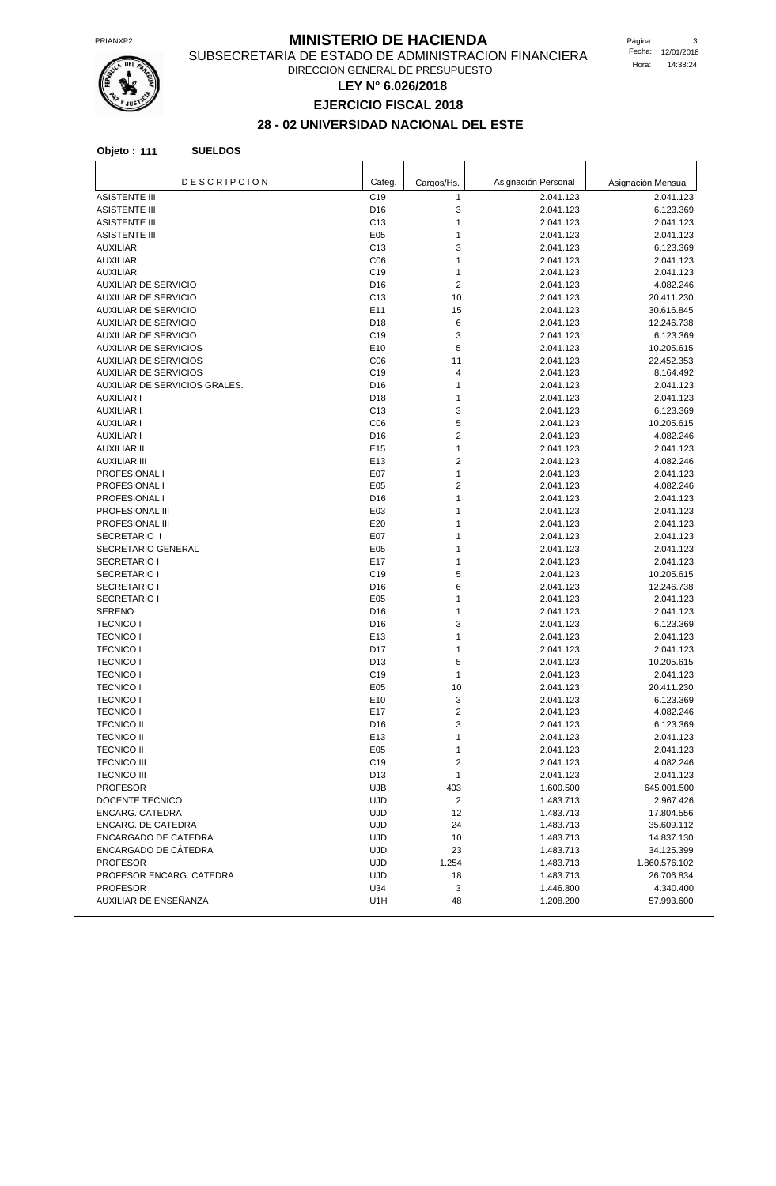

#### **MINISTERIO DE HACIENDA** Página: 3

SUBSECRETARIA DE ESTADO DE ADMINISTRACION FINANCIERA DIRECCION GENERAL DE PRESUPUESTO

**LEY N° 6.026/2018**

# **EJERCICIO FISCAL 2018**

# **28 - 02 UNIVERSIDAD NACIONAL DEL ESTE**

| <b>DESCRIPCION</b>                         | Categ.                 | Cargos/Hs.     | Asignación Personal    | Asignación Mensual     |
|--------------------------------------------|------------------------|----------------|------------------------|------------------------|
| <b>ASISTENTE III</b>                       | C <sub>19</sub>        | $\mathbf{1}$   | 2.041.123              | 2.041.123              |
| <b>ASISTENTE III</b>                       | D <sub>16</sub>        | 3              | 2.041.123              | 6.123.369              |
| <b>ASISTENTE III</b>                       | C <sub>13</sub>        | 1              | 2.041.123              | 2.041.123              |
| <b>ASISTENTE III</b>                       | E05                    | 1              | 2.041.123              | 2.041.123              |
| <b>AUXILIAR</b>                            | C <sub>13</sub>        | 3              | 2.041.123              | 6.123.369              |
| <b>AUXILIAR</b>                            | C <sub>06</sub>        | 1              | 2.041.123              | 2.041.123              |
| <b>AUXILIAR</b>                            | C <sub>19</sub>        | 1              | 2.041.123              | 2.041.123              |
| <b>AUXILIAR DE SERVICIO</b>                | D <sub>16</sub>        | 2              | 2.041.123              | 4.082.246              |
| <b>AUXILIAR DE SERVICIO</b>                | C <sub>13</sub>        | 10             | 2.041.123              | 20.411.230             |
| <b>AUXILIAR DE SERVICIO</b>                | E11                    | 15             | 2.041.123              | 30.616.845             |
| <b>AUXILIAR DE SERVICIO</b>                | D <sub>18</sub>        | 6              | 2.041.123              | 12.246.738             |
| <b>AUXILIAR DE SERVICIO</b>                | C <sub>19</sub>        | 3              | 2.041.123              | 6.123.369              |
| <b>AUXILIAR DE SERVICIOS</b>               | E10                    | 5              | 2.041.123              | 10.205.615             |
| <b>AUXILIAR DE SERVICIOS</b>               | C <sub>06</sub>        | 11             | 2.041.123              | 22.452.353             |
| <b>AUXILIAR DE SERVICIOS</b>               | C <sub>19</sub>        | 4              | 2.041.123              | 8.164.492              |
| AUXILIAR DE SERVICIOS GRALES.              | D <sub>16</sub>        | 1              | 2.041.123              | 2.041.123              |
| <b>AUXILIAR I</b>                          | D18                    | 1              | 2.041.123              | 2.041.123              |
| <b>AUXILIAR I</b>                          | C <sub>13</sub>        | 3              | 2.041.123              | 6.123.369              |
| <b>AUXILIAR I</b>                          | C <sub>06</sub>        | 5              | 2.041.123              | 10.205.615             |
| <b>AUXILIAR I</b>                          | D <sub>16</sub>        | $\overline{2}$ | 2.041.123              | 4.082.246              |
| <b>AUXILIAR II</b>                         | E <sub>15</sub>        | 1              | 2.041.123              | 2.041.123              |
| <b>AUXILIAR III</b>                        | E <sub>13</sub>        | $\overline{2}$ | 2.041.123              | 4.082.246              |
| PROFESIONAL I                              | E07                    | 1              | 2.041.123              | 2.041.123              |
| PROFESIONAL I                              | E05                    | $\overline{2}$ | 2.041.123              | 4.082.246              |
| PROFESIONAL I                              | D <sub>16</sub>        | 1              | 2.041.123              | 2.041.123              |
| PROFESIONAL III                            | E03                    | 1              | 2.041.123              | 2.041.123              |
| PROFESIONAL III                            | E20                    | 1              | 2.041.123              | 2.041.123              |
| SECRETARIO I                               | E07                    | 1              | 2.041.123              | 2.041.123              |
| SECRETARIO GENERAL                         | E05                    | 1              | 2.041.123              | 2.041.123              |
| <b>SECRETARIO I</b>                        | E17                    | 1              | 2.041.123              | 2.041.123              |
| SECRETARIO I                               | C <sub>19</sub>        | 5              | 2.041.123              | 10.205.615             |
| <b>SECRETARIO I</b><br><b>SECRETARIO I</b> | D <sub>16</sub><br>E05 | 6<br>1         | 2.041.123              | 12.246.738             |
| <b>SERENO</b>                              | D <sub>16</sub>        | 1              | 2.041.123<br>2.041.123 | 2.041.123<br>2.041.123 |
| <b>TECNICO I</b>                           | D <sub>16</sub>        | 3              | 2.041.123              | 6.123.369              |
| <b>TECNICO I</b>                           | E <sub>13</sub>        | 1              | 2.041.123              | 2.041.123              |
| <b>TECNICO I</b>                           | D17                    | 1              | 2.041.123              | 2.041.123              |
| <b>TECNICO I</b>                           | D <sub>13</sub>        | 5              | 2.041.123              | 10.205.615             |
| <b>TECNICO I</b>                           | C <sub>19</sub>        | 1              | 2.041.123              | 2.041.123              |
| <b>TECNICO I</b>                           | E05                    | 10             | 2.041.123              | 20.411.230             |
| <b>TECNICO I</b>                           | E10                    | 3              | 2.041.123              | 6.123.369              |
| <b>TECNICO I</b>                           | E17                    | $\overline{2}$ | 2.041.123              | 4.082.246              |
| <b>TECNICO II</b>                          | D <sub>16</sub>        | 3              | 2.041.123              | 6.123.369              |
| <b>TECNICO II</b>                          | E13                    | 1              | 2.041.123              | 2.041.123              |
| <b>TECNICO II</b>                          | E05                    | 1              | 2.041.123              | 2.041.123              |
| <b>TECNICO III</b>                         | C <sub>19</sub>        | 2              | 2.041.123              | 4.082.246              |
| <b>TECNICO III</b>                         | D <sub>13</sub>        | 1              | 2.041.123              | 2.041.123              |
| <b>PROFESOR</b>                            | <b>UJB</b>             | 403            | 1.600.500              | 645.001.500            |
| DOCENTE TECNICO                            | <b>UJD</b>             | 2              | 1.483.713              | 2.967.426              |
| ENCARG. CATEDRA                            | <b>UJD</b>             | 12             | 1.483.713              | 17.804.556             |
| <b>ENCARG. DE CATEDRA</b>                  | <b>UJD</b>             | 24             | 1.483.713              | 35.609.112             |
| ENCARGADO DE CATEDRA                       | <b>UJD</b>             | 10             | 1.483.713              | 14.837.130             |
| ENCARGADO DE CÁTEDRA                       | <b>UJD</b>             | 23             | 1.483.713              | 34.125.399             |
| <b>PROFESOR</b>                            | <b>UJD</b>             | 1.254          | 1.483.713              | 1.860.576.102          |
| PROFESOR ENCARG. CATEDRA                   | <b>UJD</b>             | 18             | 1.483.713              | 26.706.834             |
| <b>PROFESOR</b>                            | U34                    | 3              | 1.446.800              | 4.340.400              |
| AUXILIAR DE ENSEÑANZA                      | U1H                    | 48             | 1.208.200              | 57.993.600             |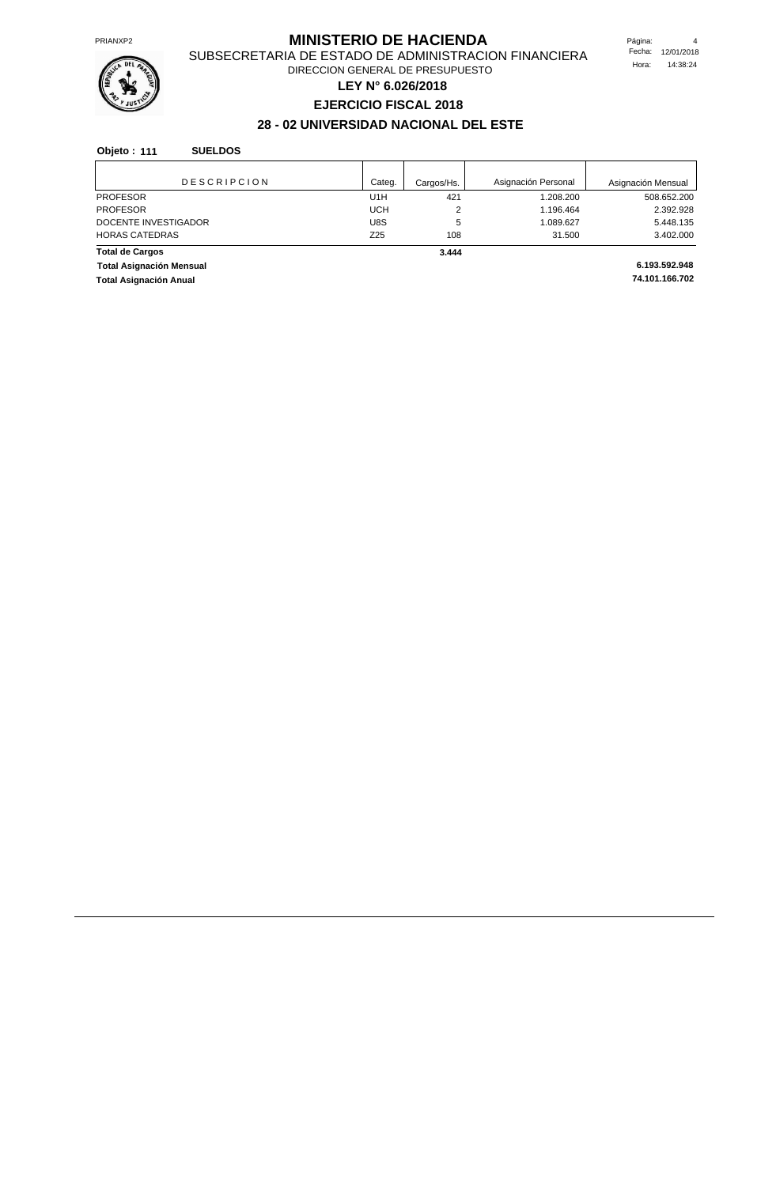

## **PRIANXP2** PRIANXP2 **MINISTERIO DE HACIENDA**

SUBSECRETARIA DE ESTADO DE ADMINISTRACION FINANCIERA DIRECCION GENERAL DE PRESUPUESTO

**LEY N° 6.026/2018**

# **EJERCICIO FISCAL 2018**

# **28 - 02 UNIVERSIDAD NACIONAL DEL ESTE**

| <b>DESCRIPCION</b>              | Categ. | Cargos/Hs. | Asignación Personal | Asignación Mensual |
|---------------------------------|--------|------------|---------------------|--------------------|
| <b>PROFESOR</b>                 | U1H    | 421        | 1.208.200           | 508.652.200        |
| <b>PROFESOR</b>                 | UCH    | 2          | 1.196.464           | 2.392.928          |
| DOCENTE INVESTIGADOR            | U8S    | 5          | 1.089.627           | 5.448.135          |
| <b>HORAS CATEDRAS</b>           | Z25    | 108        | 31.500              | 3.402.000          |
| <b>Total de Cargos</b>          |        | 3.444      |                     |                    |
| <b>Total Asignación Mensual</b> |        |            |                     | 6.193.592.948      |
| <b>Total Asignación Anual</b>   |        |            |                     | 74.101.166.702     |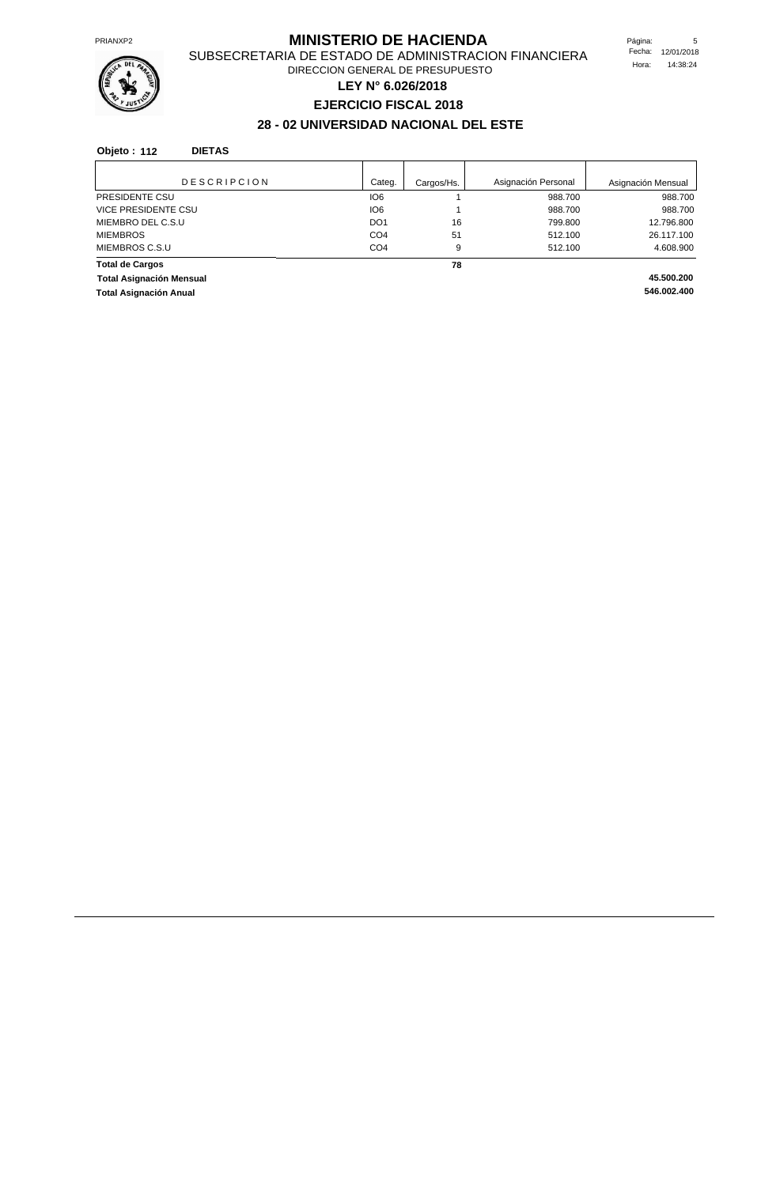

## **MINISTERIO DE HACIENDA** Página: 5

SUBSECRETARIA DE ESTADO DE ADMINISTRACION FINANCIERA DIRECCION GENERAL DE PRESUPUESTO

**LEY N° 6.026/2018**

# **EJERCICIO FISCAL 2018**

# **28 - 02 UNIVERSIDAD NACIONAL DEL ESTE**

#### **Objeto : 112 DIETAS**

| <b>DESCRIPCION</b>              | Categ.          | Cargos/Hs. | Asignación Personal | Asignación Mensual |
|---------------------------------|-----------------|------------|---------------------|--------------------|
| PRESIDENTE CSU                  | IO <sub>6</sub> |            | 988.700             | 988.700            |
| <b>VICE PRESIDENTE CSU</b>      | IO <sub>6</sub> |            | 988.700             | 988.700            |
| MIEMBRO DEL C.S.U               | DO <sub>1</sub> | 16         | 799.800             | 12.796.800         |
| <b>MIEMBROS</b>                 | CO <sub>4</sub> | 51         | 512.100             | 26.117.100         |
| MIEMBROS C.S.U                  | CO <sub>4</sub> | 9          | 512.100             | 4.608.900          |
| <b>Total de Cargos</b>          |                 | 78         |                     |                    |
| <b>Total Asignación Mensual</b> |                 |            |                     | 45.500.200         |
| <b>Total Asignación Anual</b>   |                 |            |                     | 546.002.400        |